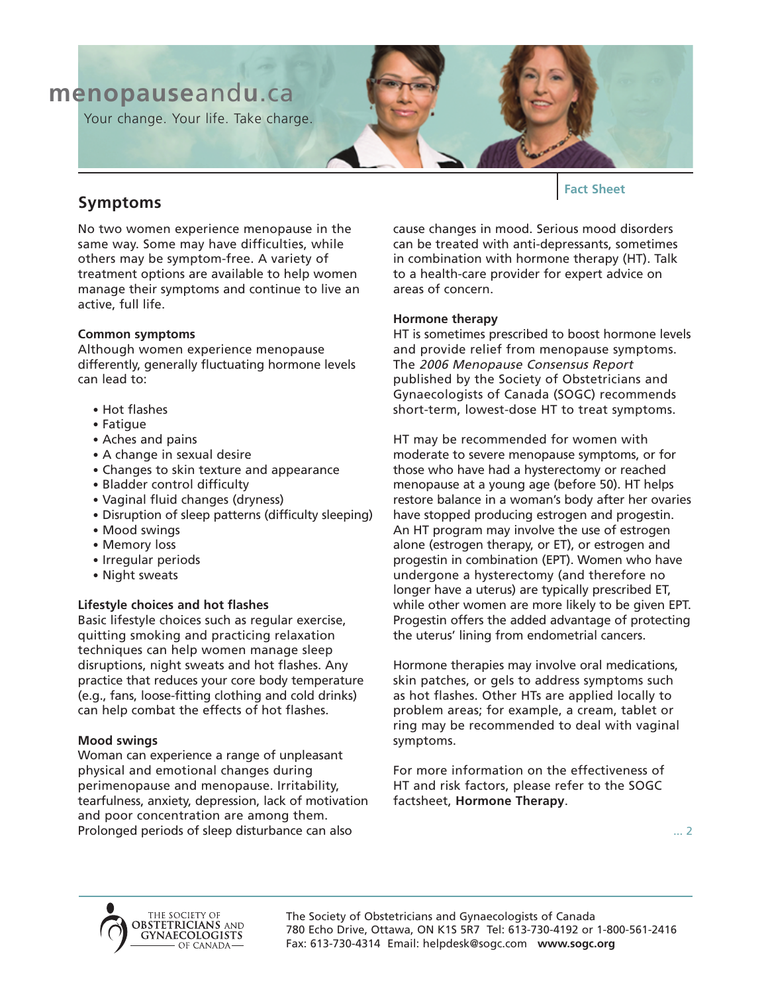

# **Symptoms**

No two women experience menopause in the same way. Some may have difficulties, while others may be symptom-free. A variety of treatment options are available to help women manage their symptoms and continue to live an active, full life.

## **Common symptoms**

Although women experience menopause differently, generally fluctuating hormone levels can lead to:

- Hot flashes
- Fatigue
- Aches and pains
- A change in sexual desire
- Changes to skin texture and appearance
- Bladder control difficulty
- Vaginal fluid changes (dryness)
- Disruption of sleep patterns (difficulty sleeping)
- Mood swings
- Memory loss
- Irregular periods
- Night sweats

## **Lifestyle choices and hot flashes**

Basic lifestyle choices such as regular exercise, quitting smoking and practicing relaxation techniques can help women manage sleep disruptions, night sweats and hot flashes. Any practice that reduces your core body temperature (e.g., fans, loose-fitting clothing and cold drinks) can help combat the effects of hot flashes.

## **Mood swings**

Woman can experience a range of unpleasant physical and emotional changes during perimenopause and menopause. Irritability, tearfulness, anxiety, depression, lack of motivation and poor concentration are among them. Prolonged periods of sleep disturbance can also

**Fact Sheet**

cause changes in mood. Serious mood disorders can be treated with anti-depressants, sometimes in combination with hormone therapy (HT). Talk to a health-care provider for expert advice on areas of concern.

#### **Hormone therapy**

HT is sometimes prescribed to boost hormone levels and provide relief from menopause symptoms. The 2006 Menopause Consensus Report published by the Society of Obstetricians and Gynaecologists of Canada (SOGC) recommends short-term, lowest-dose HT to treat symptoms.

HT may be recommended for women with moderate to severe menopause symptoms, or for those who have had a hysterectomy or reached menopause at a young age (before 50). HT helps restore balance in a woman's body after her ovaries have stopped producing estrogen and progestin. An HT program may involve the use of estrogen alone (estrogen therapy, or ET), or estrogen and progestin in combination (EPT). Women who have undergone a hysterectomy (and therefore no longer have a uterus) are typically prescribed ET, while other women are more likely to be given EPT. Progestin offers the added advantage of protecting the uterus' lining from endometrial cancers.

Hormone therapies may involve oral medications, skin patches, or gels to address symptoms such as hot flashes. Other HTs are applied locally to problem areas; for example, a cream, tablet or ring may be recommended to deal with vaginal symptoms.

For more information on the effectiveness of HT and risk factors, please refer to the SOGC factsheet, **Hormone Therapy**.